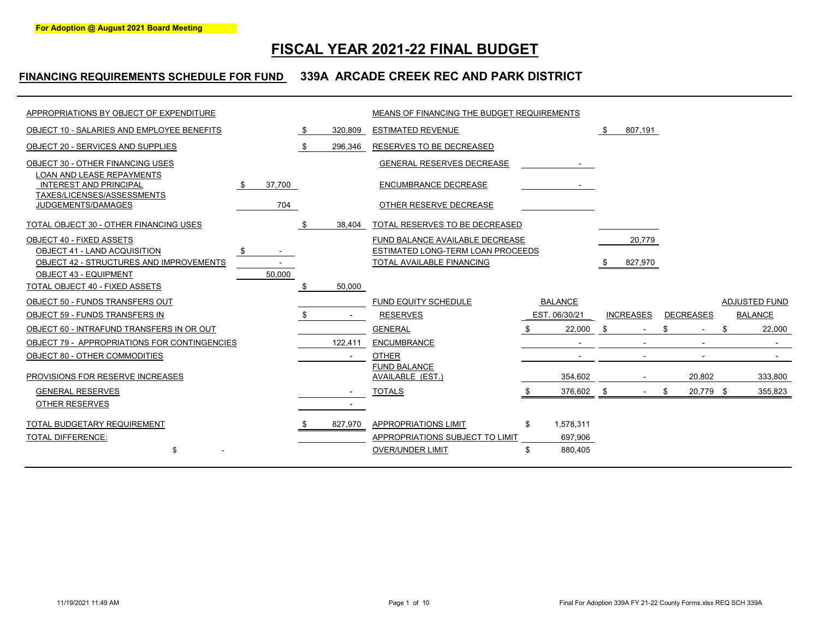# **FISCAL YEAR 2021-22 FINAL BUDGET**

### **FINANCING REQUIREMENTS SCHEDULE FOR FUND 339A ARCADE CREEK REC AND PARK DISTRICT**

| APPROPRIATIONS BY OBJECT OF EXPENDITURE                                                         |        |    |         | MEANS OF FINANCING THE BUDGET REQUIREMENTS                           |     |                |     |                  |                  |           |                      |         |
|-------------------------------------------------------------------------------------------------|--------|----|---------|----------------------------------------------------------------------|-----|----------------|-----|------------------|------------------|-----------|----------------------|---------|
| OBJECT 10 - SALARIES AND EMPLOYEE BENEFITS                                                      |        | S. | 320,809 | <b>ESTIMATED REVENUE</b>                                             |     |                | \$  | 807,191          |                  |           |                      |         |
| OBJECT 20 - SERVICES AND SUPPLIES                                                               |        | \$ | 296,346 | RESERVES TO BE DECREASED                                             |     |                |     |                  |                  |           |                      |         |
| OBJECT 30 - OTHER FINANCING USES                                                                |        |    |         | GENERAL RESERVES DECREASE                                            |     |                |     |                  |                  |           |                      |         |
| <b>LOAN AND LEASE REPAYMENTS</b><br><b>INTEREST AND PRINCIPAL</b><br>TAXES/LICENSES/ASSESSMENTS | 37,700 |    |         | ENCUMBRANCE DECREASE                                                 |     |                |     |                  |                  |           |                      |         |
| JUDGEMENTS/DAMAGES                                                                              | 704    |    |         | OTHER RESERVE DECREASE                                               |     |                |     |                  |                  |           |                      |         |
| TOTAL OBJECT 30 - OTHER FINANCING USES                                                          |        |    | 38,404  | TOTAL RESERVES TO BE DECREASED                                       |     |                |     |                  |                  |           |                      |         |
| <b>OBJECT 40 - FIXED ASSETS</b><br>OBJECT 41 - LAND ACQUISITION                                 | \$     |    |         | FUND BALANCE AVAILABLE DECREASE<br>ESTIMATED LONG-TERM LOAN PROCEEDS |     |                |     | 20,779           |                  |           |                      |         |
| OBJECT 42 - STRUCTURES AND IMPROVEMENTS                                                         |        |    |         | TOTAL AVAILABLE FINANCING                                            |     |                | \$  | 827,970          |                  |           |                      |         |
| <b>OBJECT 43 - EQUIPMENT</b><br>TOTAL OBJECT 40 - FIXED ASSETS                                  | 50,000 |    | 50,000  |                                                                      |     |                |     |                  |                  |           |                      |         |
| OBJECT 50 - FUNDS TRANSFERS OUT                                                                 |        |    |         | FUND EQUITY SCHEDULE                                                 |     | <b>BALANCE</b> |     |                  |                  |           | <b>ADJUSTED FUND</b> |         |
| OBJECT 59 - FUNDS TRANSFERS IN                                                                  |        |    |         | <b>RESERVES</b>                                                      |     | EST. 06/30/21  |     | <b>INCREASES</b> | <b>DECREASES</b> |           | <b>BALANCE</b>       |         |
| OBJECT 60 - INTRAFUND TRANSFERS IN OR OUT                                                       |        |    |         | <b>GENERAL</b>                                                       |     | 22,000         | \$  |                  |                  |           | \$                   | 22,000  |
| OBJECT 79 - APPROPRIATIONS FOR CONTINGENCIES                                                    |        |    | 122,411 | <b>ENCUMBRANCE</b>                                                   |     |                |     |                  |                  |           |                      |         |
| OBJECT 80 - OTHER COMMODITIES                                                                   |        |    | $\sim$  | <b>OTHER</b>                                                         |     |                |     |                  |                  |           |                      | $\sim$  |
| PROVISIONS FOR RESERVE INCREASES                                                                |        |    |         | <b>FUND BALANCE</b><br>AVAILABLE (EST.)                              |     | 354,602        |     |                  |                  | 20,802    |                      | 333,800 |
| <b>GENERAL RESERVES</b>                                                                         |        |    |         | <b>TOTALS</b>                                                        |     | 376,602        | -\$ | $\sim$           | \$               | 20,779 \$ |                      | 355,823 |
| <b>OTHER RESERVES</b>                                                                           |        |    |         |                                                                      |     |                |     |                  |                  |           |                      |         |
| TOTAL BUDGETARY REQUIREMENT                                                                     |        |    | 827,970 | APPROPRIATIONS LIMIT                                                 | \$. | 1,578,311      |     |                  |                  |           |                      |         |
| <b>TOTAL DIFFERENCE:</b>                                                                        |        |    |         | APPROPRIATIONS SUBJECT TO LIMIT                                      |     | 697,906        |     |                  |                  |           |                      |         |
| \$                                                                                              |        |    |         | <b>OVER/UNDER LIMIT</b>                                              | \$  | 880,405        |     |                  |                  |           |                      |         |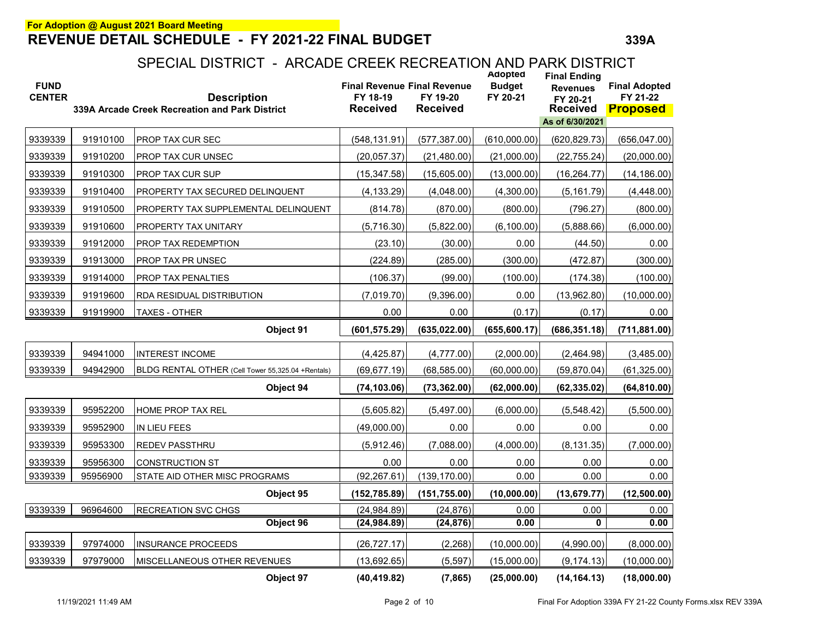| <b>FUND</b><br><b>CENTER</b> |          | <b>Description</b><br>339A Arcade Creek Recreation and Park District | <b>Final Revenue Final Revenue</b><br>FY 18-19<br><b>Received</b> | FY 19-20<br><b>Received</b> | Adopted<br><b>Budget</b><br>FY 20-21 | <b>Final Ending</b><br><b>Revenues</b><br>FY 20-21<br><b>Received</b> | <b>Final Adopted</b><br>FY 21-22<br><b>Proposed</b> |
|------------------------------|----------|----------------------------------------------------------------------|-------------------------------------------------------------------|-----------------------------|--------------------------------------|-----------------------------------------------------------------------|-----------------------------------------------------|
|                              |          |                                                                      |                                                                   |                             |                                      | As of 6/30/2021                                                       |                                                     |
| 9339339                      | 91910100 | PROP TAX CUR SEC                                                     | (548, 131.91)                                                     | (577, 387.00)               | (610,000.00)                         | (620, 829.73)                                                         | (656, 047.00)                                       |
| 9339339                      | 91910200 | PROP TAX CUR UNSEC                                                   | (20,057.37)                                                       | (21, 480.00)                | (21,000.00)                          | (22, 755.24)                                                          | (20,000.00)                                         |
| 9339339                      | 91910300 | PROP TAX CUR SUP                                                     | (15, 347.58)                                                      | (15,605.00)                 | (13,000.00)                          | (16, 264.77)                                                          | (14, 186.00)                                        |
| 9339339                      | 91910400 | PROPERTY TAX SECURED DELINQUENT                                      | (4, 133.29)                                                       | (4,048.00)                  | (4,300.00)                           | (5, 161.79)                                                           | (4,448.00)                                          |
| 9339339                      | 91910500 | PROPERTY TAX SUPPLEMENTAL DELINQUENT                                 | (814.78)                                                          | (870.00)                    | (800.00)                             | (796.27)                                                              | (800.00)                                            |
| 9339339                      | 91910600 | PROPERTY TAX UNITARY                                                 | (5,716.30)                                                        | (5,822.00)                  | (6, 100.00)                          | (5,888.66)                                                            | (6,000.00)                                          |
| 9339339                      | 91912000 | PROP TAX REDEMPTION                                                  | (23.10)                                                           | (30.00)                     | 0.00                                 | (44.50)                                                               | 0.00                                                |
| 9339339                      | 91913000 | PROP TAX PR UNSEC                                                    | (224.89)                                                          | (285.00)                    | (300.00)                             | (472.87)                                                              | (300.00)                                            |
| 9339339                      | 91914000 | PROP TAX PENALTIES                                                   | (106.37)                                                          | (99.00)                     | (100.00)                             | (174.38)                                                              | (100.00)                                            |
| 9339339                      | 91919600 | RDA RESIDUAL DISTRIBUTION                                            | (7,019.70)                                                        | (9,396.00)                  | 0.00                                 | (13,962.80)                                                           | (10,000.00)                                         |
| 9339339                      | 91919900 | <b>TAXES - OTHER</b>                                                 | 0.00                                                              | 0.00                        | (0.17)                               | (0.17)                                                                | 0.00                                                |
|                              |          | Object 91                                                            | (601, 575.29)                                                     | (635, 022.00)               | (655, 600.17)                        | (686, 351.18)                                                         | (711, 881.00)                                       |
| 9339339                      | 94941000 | <b>INTEREST INCOME</b>                                               | (4, 425.87)                                                       | (4,777.00)                  | (2,000.00)                           | (2,464.98)                                                            | (3,485.00)                                          |
| 9339339                      | 94942900 | BLDG RENTAL OTHER (Cell Tower 55,325.04 +Rentals)                    | (69, 677.19)                                                      | (68, 585.00)                | (60,000.00)                          | (59, 870.04)                                                          | (61, 325.00)                                        |
|                              |          | Object 94                                                            | (74, 103.06)                                                      | (73, 362.00)                | (62,000.00)                          | (62, 335.02)                                                          | (64, 810.00)                                        |
| 9339339                      | 95952200 | <b>HOME PROP TAX REL</b>                                             | (5.605.82)                                                        | (5,497.00)                  | (6,000.00)                           | (5,548.42)                                                            | (5,500.00)                                          |
| 9339339                      | 95952900 | IN LIEU FEES                                                         | (49,000.00)                                                       | 0.00                        | 0.00                                 | 0.00                                                                  | 0.00                                                |
| 9339339                      | 95953300 | <b>REDEV PASSTHRU</b>                                                | (5,912.46)                                                        | (7,088.00)                  | (4,000.00)                           | (8, 131.35)                                                           | (7,000.00)                                          |
| 9339339                      | 95956300 | <b>CONSTRUCTION ST</b>                                               | 0.00                                                              | 0.00                        | 0.00                                 | 0.00                                                                  | 0.00                                                |
| 9339339                      | 95956900 | STATE AID OTHER MISC PROGRAMS                                        | (92, 267.61)                                                      | (139, 170.00)               | 0.00                                 | 0.00                                                                  | 0.00                                                |
|                              |          | Object 95                                                            | (152, 785.89)                                                     | (151, 755.00)               | (10,000.00)                          | (13, 679.77)                                                          | (12,500.00)                                         |
| 9339339                      | 96964600 | <b>RECREATION SVC CHGS</b>                                           | (24, 984.89)                                                      | (24, 876)                   | 0.00                                 | 0.00                                                                  | 0.00                                                |
|                              |          | Object 96                                                            | (24, 984.89)                                                      | (24, 876)                   | 0.00                                 | 0                                                                     | 0.00                                                |
| 9339339                      | 97974000 | <b>INSURANCE PROCEEDS</b>                                            | (26, 727.17)                                                      | (2, 268)                    | (10,000.00)                          | (4,990.00)                                                            | (8,000.00)                                          |
| 9339339                      | 97979000 | MISCELLANEOUS OTHER REVENUES                                         | (13,692.65)                                                       | (5, 597)                    | (15,000.00)                          | (9, 174.13)                                                           | (10,000.00)                                         |
|                              |          | Object 97                                                            | (40, 419.82)                                                      | (7, 865)                    | (25,000.00)                          | (14, 164.13)                                                          | (18,000.00)                                         |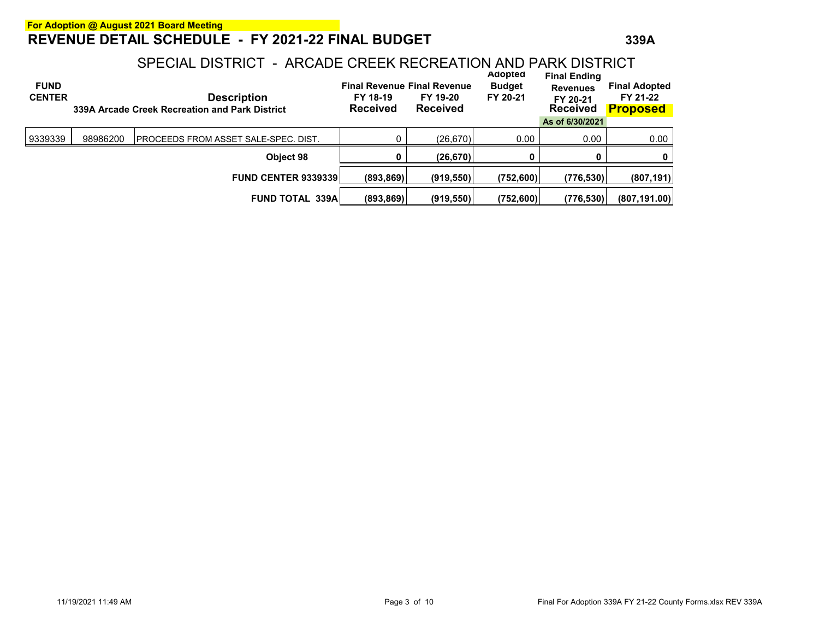| <b>FUND</b><br><b>CENTER</b> |          | <b>Description</b><br>339A Arcade Creek Recreation and Park District | FY 18-19<br><b>Received</b> | <b>Final Revenue Final Revenue</b><br>FY 19-20<br><b>Received</b> | Adopted<br><b>Budget</b><br>FY 20-21 | <b>Final Ending</b><br><b>Revenues</b><br>FY 20-21<br><b>Received</b> | <b>Final Adopted</b><br>FY 21-22<br><b>Proposed</b> |
|------------------------------|----------|----------------------------------------------------------------------|-----------------------------|-------------------------------------------------------------------|--------------------------------------|-----------------------------------------------------------------------|-----------------------------------------------------|
|                              |          |                                                                      |                             |                                                                   |                                      | As of 6/30/2021                                                       |                                                     |
| 9339339                      | 98986200 | IPROCEEDS FROM ASSET SALE-SPEC. DIST.                                |                             | (26, 670)                                                         | 0.00                                 | 0.00                                                                  | 0.00                                                |
|                              |          | Object 98                                                            | 0                           | (26, 670)                                                         | Ω                                    | 0                                                                     | 0                                                   |
|                              |          | <b>FUND CENTER 9339339</b>                                           | (893, 869)                  | (919, 550)                                                        | (752,600)                            | (776, 530)                                                            | (807, 191)                                          |
|                              |          | <b>FUND TOTAL 339A</b>                                               | (893, 869)                  | (919, 550)                                                        | (752,600)                            | (776, 530)                                                            | (807, 191.00)                                       |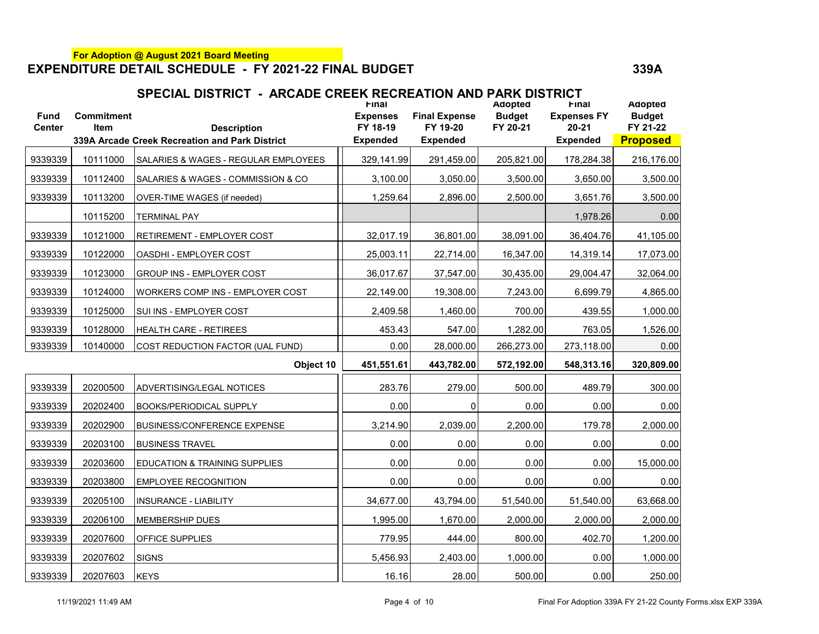| <b>Fund</b><br><b>Center</b> | <b>Commitment</b><br><b>Item</b> | <b>Description</b>                             | <b>Final</b><br><b>Expenses</b><br>FY 18-19 | <b>Final Expense</b><br>FY 19-20 | Adopted<br><b>Budget</b><br>FY 20-21 | Final<br><b>Expenses FY</b><br>$20 - 21$ | Adopted<br><b>Budget</b><br>FY 21-22 |
|------------------------------|----------------------------------|------------------------------------------------|---------------------------------------------|----------------------------------|--------------------------------------|------------------------------------------|--------------------------------------|
|                              |                                  | 339A Arcade Creek Recreation and Park District | <b>Expended</b>                             | <b>Expended</b>                  |                                      | <b>Expended</b>                          | <b>Proposed</b>                      |
| 9339339                      | 10111000                         | SALARIES & WAGES - REGULAR EMPLOYEES           | 329,141.99                                  | 291,459.00                       | 205,821.00                           | 178,284.38                               | 216,176.00                           |
| 9339339                      | 10112400                         | SALARIES & WAGES - COMMISSION & CO             | 3,100.00                                    | 3,050.00                         | 3,500.00                             | 3,650.00                                 | 3,500.00                             |
| 9339339                      | 10113200                         | OVER-TIME WAGES (if needed)                    | 1,259.64                                    | 2,896.00                         | 2,500.00                             | 3,651.76                                 | 3,500.00                             |
|                              | 10115200                         | <b>TERMINAL PAY</b>                            |                                             |                                  |                                      | 1,978.26                                 | 0.00                                 |
| 9339339                      | 10121000                         | RETIREMENT - EMPLOYER COST                     | 32,017.19                                   | 36,801.00                        | 38,091.00                            | 36,404.76                                | 41,105.00                            |
| 9339339                      | 10122000                         | OASDHI - EMPLOYER COST                         | 25,003.11                                   | 22,714.00                        | 16,347.00                            | 14,319.14                                | 17,073.00                            |
| 9339339                      | 10123000                         | GROUP INS - EMPLOYER COST                      | 36,017.67                                   | 37,547.00                        | 30,435.00                            | 29,004.47                                | 32,064.00                            |
| 9339339                      | 10124000                         | WORKERS COMP INS - EMPLOYER COST               | 22,149.00                                   | 19,308.00                        | 7,243.00                             | 6,699.79                                 | 4,865.00                             |
| 9339339                      | 10125000                         | SUI INS - EMPLOYER COST                        | 2,409.58                                    | 1,460.00                         | 700.00                               | 439.55                                   | 1,000.00                             |
| 9339339                      | 10128000                         | <b>HEALTH CARE - RETIREES</b>                  | 453.43                                      | 547.00                           | 1,282.00                             | 763.05                                   | 1,526.00                             |
| 9339339                      | 10140000                         | COST REDUCTION FACTOR (UAL FUND)               | 0.00                                        | 28,000.00                        | 266,273.00                           | 273,118.00                               | 0.00                                 |
|                              |                                  | Object 10                                      | 451,551.61                                  | 443,782.00                       | 572,192.00                           | 548,313.16                               | 320,809.00                           |
| 9339339                      | 20200500                         | ADVERTISING/LEGAL NOTICES                      | 283.76                                      | 279.00                           | 500.00                               | 489.79                                   | 300.00                               |
| 9339339                      | 20202400                         | <b>BOOKS/PERIODICAL SUPPLY</b>                 | 0.00                                        | 0                                | 0.00                                 | 0.00                                     | 0.00                                 |
| 9339339                      | 20202900                         | <b>BUSINESS/CONFERENCE EXPENSE</b>             | 3,214.90                                    | 2,039.00                         | 2,200.00                             | 179.78                                   | 2,000.00                             |
| 9339339                      | 20203100                         | <b>BUSINESS TRAVEL</b>                         | 0.00                                        | 0.00                             | 0.00                                 | 0.00                                     | 0.00                                 |
| 9339339                      | 20203600                         | EDUCATION & TRAINING SUPPLIES                  | 0.00                                        | 0.00                             | 0.00                                 | 0.00                                     | 15,000.00                            |
| 9339339                      | 20203800                         | <b>EMPLOYEE RECOGNITION</b>                    | 0.00                                        | 0.00                             | 0.00                                 | 0.00                                     | 0.00                                 |
| 9339339                      | 20205100                         | <b>INSURANCE - LIABILITY</b>                   | 34,677.00                                   | 43,794.00                        | 51,540.00                            | 51,540.00                                | 63,668.00                            |
| 9339339                      | 20206100                         | <b>MEMBERSHIP DUES</b>                         | 1,995.00                                    | 1,670.00                         | 2,000.00                             | 2,000.00                                 | 2,000.00                             |
| 9339339                      | 20207600                         | OFFICE SUPPLIES                                | 779.95                                      | 444.00                           | 800.00                               | 402.70                                   | 1,200.00                             |
| 9339339                      | 20207602                         | <b>SIGNS</b>                                   | 5,456.93                                    | 2,403.00                         | 1,000.00                             | 0.00                                     | 1,000.00                             |
| 9339339                      | 20207603                         | <b>KEYS</b>                                    | 16.16                                       | 28.00                            | 500.00                               | 0.00                                     | 250.00                               |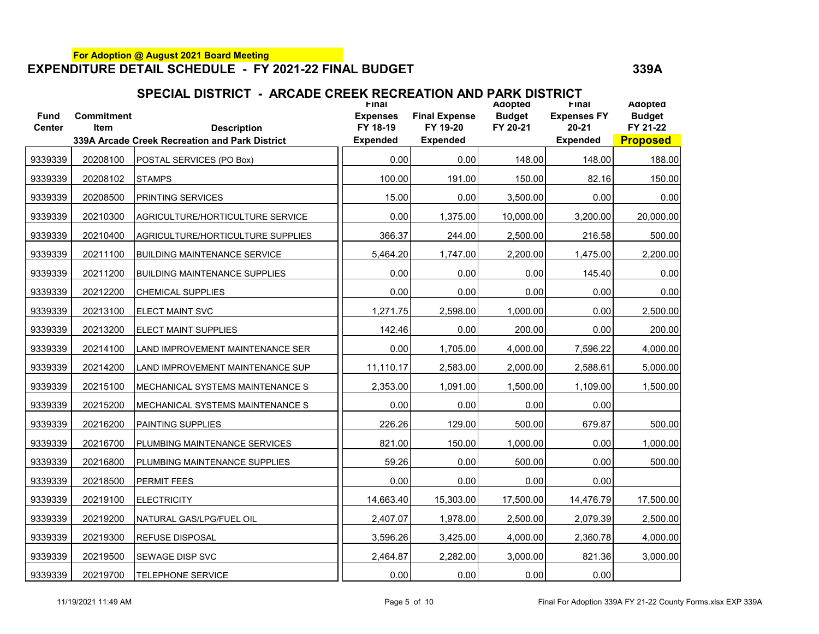| SPECIAL DISTRICT - ARCADE CREEK RECREATION AND PARK DISTRICT |  |
|--------------------------------------------------------------|--|
|                                                              |  |

| <b>Fund</b><br><b>Center</b> | <b>Commitment</b><br><b>Item</b> | <b>Description</b><br>339A Arcade Creek Recreation and Park District | <b>Final</b><br><b>Expenses</b><br>FY 18-19<br><b>Expended</b> | <b>Final Expense</b><br>FY 19-20<br><b>Expended</b> | Adopted<br><b>Budget</b><br>FY 20-21 | <b>Final</b><br><b>Expenses FY</b><br>$20 - 21$<br><b>Expended</b> | <b>Adopted</b><br><b>Budget</b><br>FY 21-22<br><b>Proposed</b> |
|------------------------------|----------------------------------|----------------------------------------------------------------------|----------------------------------------------------------------|-----------------------------------------------------|--------------------------------------|--------------------------------------------------------------------|----------------------------------------------------------------|
| 9339339                      |                                  |                                                                      | 0.00                                                           | 0.00                                                | 148.00                               |                                                                    |                                                                |
|                              | 20208100                         | POSTAL SERVICES (PO Box)                                             |                                                                |                                                     |                                      | 148.00                                                             | 188.00                                                         |
| 9339339                      | 20208102                         | <b>STAMPS</b>                                                        | 100.00                                                         | 191.00                                              | 150.00                               | 82.16                                                              | 150.00                                                         |
| 9339339                      | 20208500                         | PRINTING SERVICES                                                    | 15.00                                                          | 0.00                                                | 3,500.00                             | 0.00                                                               | 0.00                                                           |
| 9339339                      | 20210300                         | AGRICULTURE/HORTICULTURE SERVICE                                     | 0.00                                                           | 1,375.00                                            | 10,000.00                            | 3,200.00                                                           | 20,000.00                                                      |
| 9339339                      | 20210400                         | AGRICULTURE/HORTICULTURE SUPPLIES                                    | 366.37                                                         | 244.00                                              | 2,500.00                             | 216.58                                                             | 500.00                                                         |
| 9339339                      | 20211100                         | <b>BUILDING MAINTENANCE SERVICE</b>                                  | 5,464.20                                                       | 1,747.00                                            | 2,200.00                             | 1,475.00                                                           | 2,200.00                                                       |
| 9339339                      | 20211200                         | <b>BUILDING MAINTENANCE SUPPLIES</b>                                 | 0.00                                                           | 0.00                                                | 0.00                                 | 145.40                                                             | 0.00                                                           |
| 9339339                      | 20212200                         | <b>CHEMICAL SUPPLIES</b>                                             | 0.00                                                           | 0.00                                                | 0.00                                 | 0.00                                                               | 0.00                                                           |
| 9339339                      | 20213100                         | <b>ELECT MAINT SVC</b>                                               | 1,271.75                                                       | 2,598.00                                            | 1,000.00                             | 0.00                                                               | 2,500.00                                                       |
| 9339339                      | 20213200                         | ELECT MAINT SUPPLIES                                                 | 142.46                                                         | 0.00                                                | 200.00                               | 0.00                                                               | 200.00                                                         |
| 9339339                      | 20214100                         | LAND IMPROVEMENT MAINTENANCE SER                                     | 0.00                                                           | 1,705.00                                            | 4,000.00                             | 7,596.22                                                           | 4,000.00                                                       |
| 9339339                      | 20214200                         | LAND IMPROVEMENT MAINTENANCE SUP                                     | 11,110.17                                                      | 2,583.00                                            | 2,000.00                             | 2,588.61                                                           | 5,000.00                                                       |
| 9339339                      | 20215100                         | MECHANICAL SYSTEMS MAINTENANCE S                                     | 2,353.00                                                       | 1,091.00                                            | 1,500.00                             | 1,109.00                                                           | 1,500.00                                                       |
| 9339339                      | 20215200                         | MECHANICAL SYSTEMS MAINTENANCE S                                     | 0.00                                                           | 0.00                                                | 0.00                                 | 0.00                                                               |                                                                |
| 9339339                      | 20216200                         | PAINTING SUPPLIES                                                    | 226.26                                                         | 129.00                                              | 500.00                               | 679.87                                                             | 500.00                                                         |
| 9339339                      | 20216700                         | PLUMBING MAINTENANCE SERVICES                                        | 821.00                                                         | 150.00                                              | 1,000.00                             | 0.00                                                               | 1,000.00                                                       |
| 9339339                      | 20216800                         | PLUMBING MAINTENANCE SUPPLIES                                        | 59.26                                                          | 0.00                                                | 500.00                               | 0.00                                                               | 500.00                                                         |
| 9339339                      | 20218500                         | <b>PERMIT FEES</b>                                                   | 0.00                                                           | 0.00                                                | 0.00                                 | 0.00                                                               |                                                                |
| 9339339                      | 20219100                         | <b>ELECTRICITY</b>                                                   | 14,663.40                                                      | 15,303.00                                           | 17,500.00                            | 14,476.79                                                          | 17,500.00                                                      |
| 9339339                      | 20219200                         | NATURAL GAS/LPG/FUEL OIL                                             | 2,407.07                                                       | 1,978.00                                            | 2,500.00                             | 2,079.39                                                           | 2,500.00                                                       |
| 9339339                      | 20219300                         | REFUSE DISPOSAL                                                      | 3,596.26                                                       | 3,425.00                                            | 4,000.00                             | 2,360.78                                                           | 4,000.00                                                       |
| 9339339                      | 20219500                         | SEWAGE DISP SVC                                                      | 2,464.87                                                       | 2,282.00                                            | 3,000.00                             | 821.36                                                             | 3,000.00                                                       |
| 9339339                      | 20219700                         | <b>TELEPHONE SERVICE</b>                                             | 0.00                                                           | 0.00                                                | 0.00                                 | 0.00                                                               |                                                                |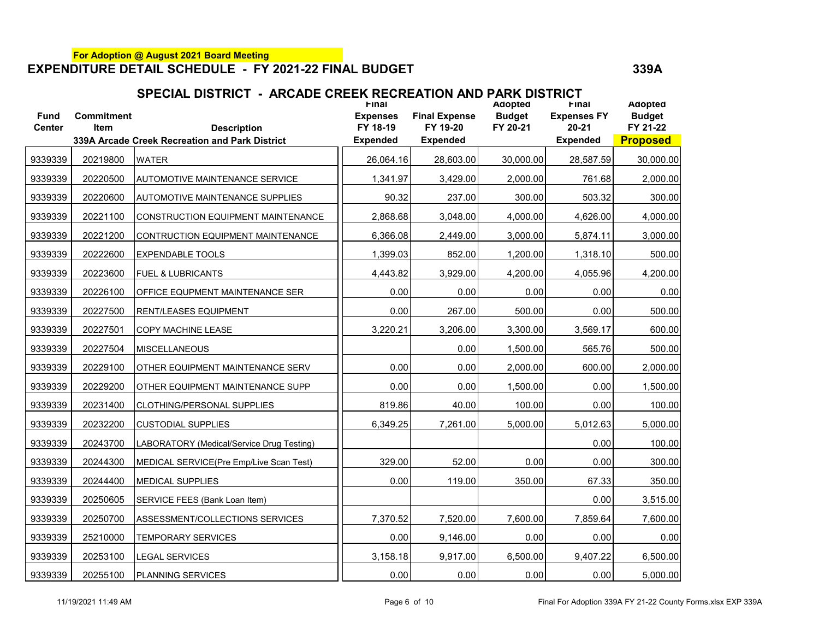| <b>Fund</b><br><b>Center</b> | <b>Commitment</b><br><b>Item</b> | <b>Description</b>                             | <b>Final</b><br><b>Expenses</b><br>FY 18-19 | <b>Final Expense</b><br>FY 19-20 | Adopted<br><b>Budget</b><br>FY 20-21 | <b>Final</b><br><b>Expenses FY</b><br>$20 - 21$ | Adopted<br><b>Budget</b><br>FY 21-22 |
|------------------------------|----------------------------------|------------------------------------------------|---------------------------------------------|----------------------------------|--------------------------------------|-------------------------------------------------|--------------------------------------|
|                              |                                  | 339A Arcade Creek Recreation and Park District | <b>Expended</b>                             | <b>Expended</b>                  |                                      | <b>Expended</b>                                 | <b>Proposed</b>                      |
| 9339339                      | 20219800                         | <b>WATER</b>                                   | 26,064.16                                   | 28,603.00                        | 30,000.00                            | 28,587.59                                       | 30,000.00                            |
| 9339339                      | 20220500                         | <b>AUTOMOTIVE MAINTENANCE SERVICE</b>          | 1,341.97                                    | 3,429.00                         | 2,000.00                             | 761.68                                          | 2,000.00                             |
| 9339339                      | 20220600                         | AUTOMOTIVE MAINTENANCE SUPPLIES                | 90.32                                       | 237.00                           | 300.00                               | 503.32                                          | 300.00                               |
| 9339339                      | 20221100                         | CONSTRUCTION EQUIPMENT MAINTENANCE             | 2,868.68                                    | 3,048.00                         | 4,000.00                             | 4,626.00                                        | 4,000.00                             |
| 9339339                      | 20221200                         | CONTRUCTION EQUIPMENT MAINTENANCE              | 6,366.08                                    | 2,449.00                         | 3,000.00                             | 5,874.11                                        | 3,000.00                             |
| 9339339                      | 20222600                         | <b>EXPENDABLE TOOLS</b>                        | 1,399.03                                    | 852.00                           | 1,200.00                             | 1,318.10                                        | 500.00                               |
| 9339339                      | 20223600                         | <b>FUEL &amp; LUBRICANTS</b>                   | 4,443.82                                    | 3,929.00                         | 4,200.00                             | 4,055.96                                        | 4,200.00                             |
| 9339339                      | 20226100                         | OFFICE EQUPMENT MAINTENANCE SER                | 0.00                                        | 0.00                             | 0.00                                 | 0.00                                            | 0.00                                 |
| 9339339                      | 20227500                         | <b>RENT/LEASES EQUIPMENT</b>                   | 0.00                                        | 267.00                           | 500.00                               | 0.00                                            | 500.00                               |
| 9339339                      | 20227501                         | COPY MACHINE LEASE                             | 3,220.21                                    | 3,206.00                         | 3,300.00                             | 3,569.17                                        | 600.00                               |
| 9339339                      | 20227504                         | <b>MISCELLANEOUS</b>                           |                                             | 0.00                             | 1,500.00                             | 565.76                                          | 500.00                               |
| 9339339                      | 20229100                         | OTHER EQUIPMENT MAINTENANCE SERV               | 0.00                                        | 0.00                             | 2,000.00                             | 600.00                                          | 2,000.00                             |
| 9339339                      | 20229200                         | OTHER EQUIPMENT MAINTENANCE SUPP               | 0.00                                        | 0.00                             | 1,500.00                             | 0.00                                            | 1,500.00                             |
| 9339339                      | 20231400                         | CLOTHING/PERSONAL SUPPLIES                     | 819.86                                      | 40.00                            | 100.00                               | 0.00                                            | 100.00                               |
| 9339339                      | 20232200                         | <b>CUSTODIAL SUPPLIES</b>                      | 6,349.25                                    | 7,261.00                         | 5,000.00                             | 5,012.63                                        | 5,000.00                             |
| 9339339                      | 20243700                         | LABORATORY (Medical/Service Drug Testing)      |                                             |                                  |                                      | 0.00                                            | 100.00                               |
| 9339339                      | 20244300                         | MEDICAL SERVICE(Pre Emp/Live Scan Test)        | 329.00                                      | 52.00                            | 0.00                                 | 0.00                                            | 300.00                               |
| 9339339                      | 20244400                         | <b>MEDICAL SUPPLIES</b>                        | 0.00                                        | 119.00                           | 350.00                               | 67.33                                           | 350.00                               |
| 9339339                      | 20250605                         | SERVICE FEES (Bank Loan Item)                  |                                             |                                  |                                      | 0.00                                            | 3,515.00                             |
| 9339339                      | 20250700                         | ASSESSMENT/COLLECTIONS SERVICES                | 7,370.52                                    | 7,520.00                         | 7,600.00                             | 7,859.64                                        | 7,600.00                             |
| 9339339                      | 25210000                         | <b>TEMPORARY SERVICES</b>                      | 0.00                                        | 9,146.00                         | 0.00                                 | 0.00                                            | 0.00                                 |
| 9339339                      | 20253100                         | <b>LEGAL SERVICES</b>                          | 3,158.18                                    | 9,917.00                         | 6,500.00                             | 9,407.22                                        | 6,500.00                             |
| 9339339                      | 20255100                         | <b>PLANNING SERVICES</b>                       | 0.00                                        | 0.00                             | 0.00                                 | 0.00                                            | 5,000.00                             |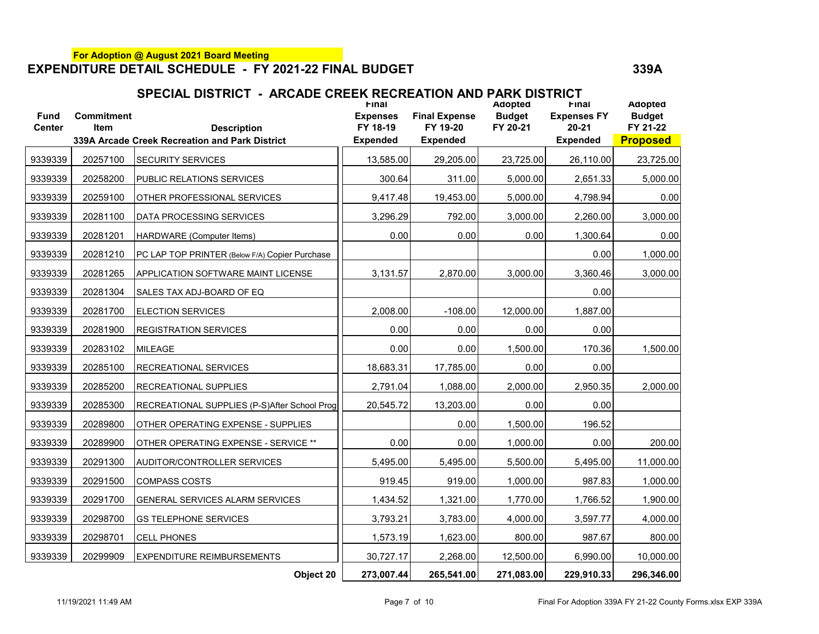| SPECIAL DISTRICT - ARCADE CREEK RECREATION AND PARK DISTRICT |  |
|--------------------------------------------------------------|--|
|                                                              |  |

| <b>Fund</b><br><b>Center</b> | <b>Commitment</b><br><b>Item</b> | <b>Description</b>                             | <b>Final</b><br><b>Expenses</b><br>FY 18-19 | <b>Final Expense</b><br>FY 19-20 | Adopted<br><b>Budget</b><br>FY 20-21 | <b>Final</b><br><b>Expenses FY</b><br>$20 - 21$ | Adopted<br><b>Budget</b><br>FY 21-22 |
|------------------------------|----------------------------------|------------------------------------------------|---------------------------------------------|----------------------------------|--------------------------------------|-------------------------------------------------|--------------------------------------|
|                              |                                  | 339A Arcade Creek Recreation and Park District | <b>Expended</b>                             | <b>Expended</b>                  |                                      | <b>Expended</b>                                 | <b>Proposed</b>                      |
| 9339339                      | 20257100                         | <b>SECURITY SERVICES</b>                       | 13,585.00                                   | 29,205.00                        | 23,725.00                            | 26,110.00                                       | 23,725.00                            |
| 9339339                      | 20258200                         | PUBLIC RELATIONS SERVICES                      | 300.64                                      | 311.00                           | 5,000.00                             | 2,651.33                                        | 5,000.00                             |
| 9339339                      | 20259100                         | OTHER PROFESSIONAL SERVICES                    | 9,417.48                                    | 19,453.00                        | 5,000.00                             | 4,798.94                                        | 0.00                                 |
| 9339339                      | 20281100                         | DATA PROCESSING SERVICES                       | 3,296.29                                    | 792.00                           | 3,000.00                             | 2,260.00                                        | 3,000.00                             |
| 9339339                      | 20281201                         | HARDWARE (Computer Items)                      | 0.00                                        | 0.00                             | 0.00                                 | 1,300.64                                        | 0.00                                 |
| 9339339                      | 20281210                         | PC LAP TOP PRINTER (Below F/A) Copier Purchase |                                             |                                  |                                      | 0.00                                            | 1,000.00                             |
| 9339339                      | 20281265                         | <b>APPLICATION SOFTWARE MAINT LICENSE</b>      | 3,131.57                                    | 2,870.00                         | 3,000.00                             | 3,360.46                                        | 3,000.00                             |
| 9339339                      | 20281304                         | SALES TAX ADJ-BOARD OF EQ                      |                                             |                                  |                                      | 0.00                                            |                                      |
| 9339339                      | 20281700                         | <b>ELECTION SERVICES</b>                       | 2,008.00                                    | $-108.00$                        | 12,000.00                            | 1,887.00                                        |                                      |
| 9339339                      | 20281900                         | <b>REGISTRATION SERVICES</b>                   | 0.00                                        | 0.00                             | 0.00                                 | 0.00                                            |                                      |
| 9339339                      | 20283102                         | <b>MILEAGE</b>                                 | 0.00                                        | 0.00                             | 1,500.00                             | 170.36                                          | 1,500.00                             |
| 9339339                      | 20285100                         | <b>RECREATIONAL SERVICES</b>                   | 18,683.31                                   | 17,785.00                        | 0.00                                 | 0.00                                            |                                      |
| 9339339                      | 20285200                         | <b>RECREATIONAL SUPPLIES</b>                   | 2,791.04                                    | 1,088.00                         | 2,000.00                             | 2,950.35                                        | 2,000.00                             |
| 9339339                      | 20285300                         | RECREATIONAL SUPPLIES (P-S)After School Prog   | 20,545.72                                   | 13,203.00                        | 0.00                                 | 0.00                                            |                                      |
| 9339339                      | 20289800                         | OTHER OPERATING EXPENSE - SUPPLIES             |                                             | 0.00                             | 1,500.00                             | 196.52                                          |                                      |
| 9339339                      | 20289900                         | OTHER OPERATING EXPENSE - SERVICE **           | 0.00                                        | 0.00                             | 1,000.00                             | 0.00                                            | 200.00                               |
| 9339339                      | 20291300                         | AUDITOR/CONTROLLER SERVICES                    | 5,495.00                                    | 5,495.00                         | 5,500.00                             | 5,495.00                                        | 11,000.00                            |
| 9339339                      | 20291500                         | COMPASS COSTS                                  | 919.45                                      | 919.00                           | 1,000.00                             | 987.83                                          | 1,000.00                             |
| 9339339                      | 20291700                         | GENERAL SERVICES ALARM SERVICES                | 1,434.52                                    | 1,321.00                         | 1,770.00                             | 1,766.52                                        | 1,900.00                             |
| 9339339                      | 20298700                         | <b>GS TELEPHONE SERVICES</b>                   | 3,793.21                                    | 3,783.00                         | 4,000.00                             | 3,597.77                                        | 4,000.00                             |
| 9339339                      | 20298701                         | <b>CELL PHONES</b>                             | 1,573.19                                    | 1,623.00                         | 800.00                               | 987.67                                          | 800.00                               |
| 9339339                      | 20299909                         | <b>EXPENDITURE REIMBURSEMENTS</b>              | 30,727.17                                   | 2,268.00                         | 12,500.00                            | 6,990.00                                        | 10,000.00                            |
|                              |                                  | Object 20                                      | 273,007.44                                  | 265,541.00                       | 271,083.00                           | 229,910.33                                      | 296,346.00                           |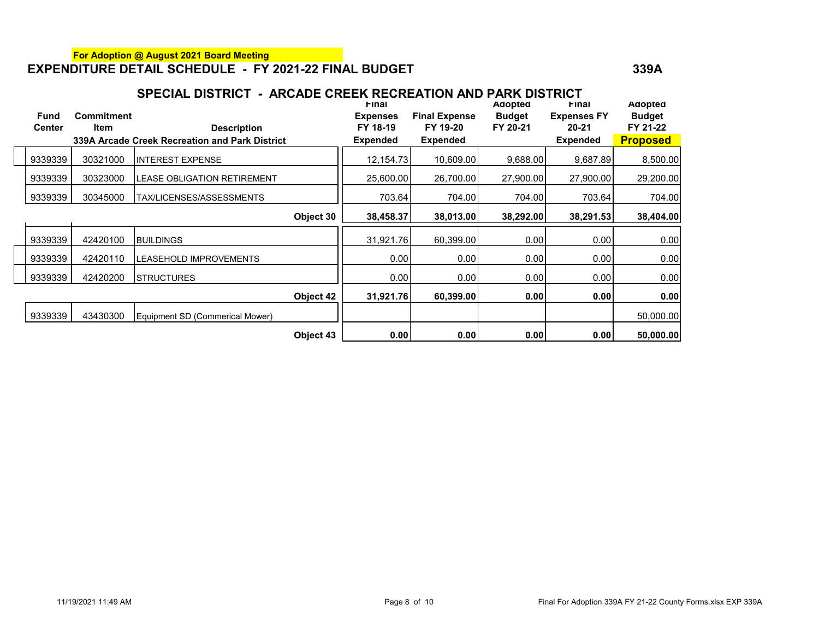| <b>Fund</b>   | <b>Commitment</b> |                                                |           | Final<br><b>Expenses</b> | <b>Final Expense</b> | Adopted<br><b>Budget</b> | Final<br><b>Expenses FY</b> | Adopted<br><b>Budget</b> |
|---------------|-------------------|------------------------------------------------|-----------|--------------------------|----------------------|--------------------------|-----------------------------|--------------------------|
| <b>Center</b> | <b>Item</b>       | <b>Description</b>                             |           | FY 18-19                 | FY 19-20             | FY 20-21                 | $20 - 21$                   | FY 21-22                 |
|               |                   | 339A Arcade Creek Recreation and Park District |           | <b>Expended</b>          | <b>Expended</b>      |                          | <b>Expended</b>             | <b>Proposed</b>          |
| 9339339       | 30321000          | <b>INTEREST EXPENSE</b>                        |           | 12,154.73                | 10,609.00            | 9,688.00                 | 9,687.89                    | 8,500.00                 |
| 9339339       | 30323000          | ILEASE OBLIGATION RETIREMENT                   |           | 25,600.00                | 26.700.00            | 27,900.00                | 27,900.00                   | 29,200.00                |
| 9339339       | 30345000          | TAX/LICENSES/ASSESSMENTS                       |           | 703.64                   | 704.00               | 704.00                   | 703.64                      | 704.00                   |
|               |                   |                                                | Object 30 | 38,458.37                | 38,013.00            | 38,292.00                | 38,291.53                   | 38,404.00                |
| 9339339       | 42420100          | <b>BUILDINGS</b>                               |           | 31,921.76                | 60,399.00            | 0.00                     | 0.00                        | 0.00                     |
| 9339339       | 42420110          | <b>LEASEHOLD IMPROVEMENTS</b>                  |           | 0.00                     | 0.00                 | 0.00                     | 0.00                        | 0.00                     |
| 9339339       | 42420200          | <b>ISTRUCTURES</b>                             |           | 0.00                     | 0.00                 | 0.00                     | 0.00                        | 0.00                     |
|               |                   |                                                | Object 42 | 31,921.76                | 60,399.00            | 0.00                     | 0.00                        | 0.00                     |
| 9339339       | 43430300          | Equipment SD (Commerical Mower)                |           |                          |                      |                          |                             | 50,000.00                |
|               |                   |                                                | Object 43 | 0.00                     | 0.00                 | 0.00                     | 0.00                        | 50,000.00                |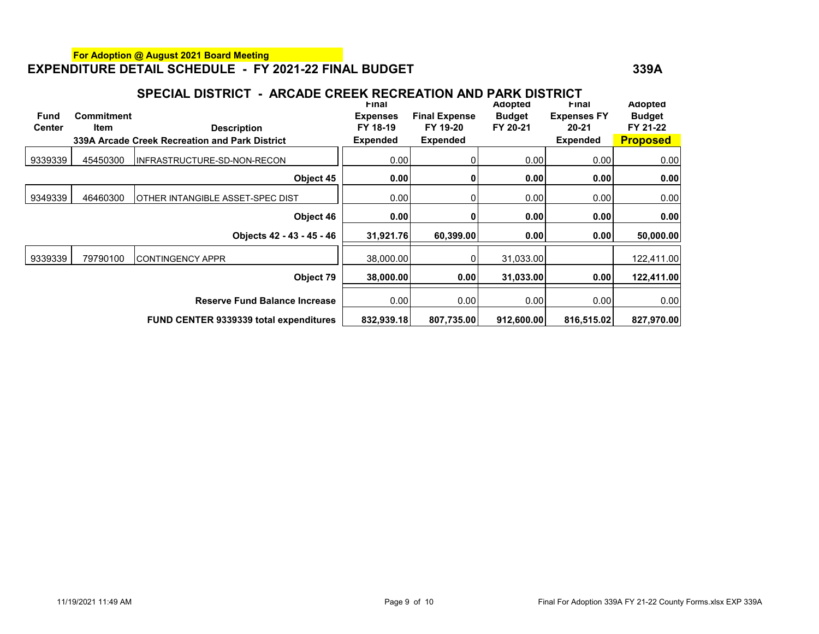| <b>Fund</b><br><b>Center</b> | <b>Commitment</b><br><b>Item</b> | м улре<br><b>Description</b><br>339A Arcade Creek Recreation and Park District | Final<br><b>Expenses</b><br>FY 18-19<br><b>Expended</b> | > **************<br><b>Final Expense</b><br>FY 19-20<br><b>Expended</b> | Adopted<br><b>Budget</b><br>FY 20-21 | Final<br><b>Expenses FY</b><br>$20 - 21$<br><b>Expended</b> | <b>Adopted</b><br><b>Budget</b><br>FY 21-22<br><b>Proposed</b> |
|------------------------------|----------------------------------|--------------------------------------------------------------------------------|---------------------------------------------------------|-------------------------------------------------------------------------|--------------------------------------|-------------------------------------------------------------|----------------------------------------------------------------|
| 9339339                      | 45450300                         | IINFRASTRUCTURE-SD-NON-RECON                                                   | 0.00                                                    |                                                                         | 0.00                                 | 0.00                                                        | 0.00                                                           |
|                              |                                  | Object 45                                                                      | 0.00                                                    |                                                                         | 0.00                                 | 0.00                                                        | 0.00                                                           |
| 9349339                      | 46460300                         | OTHER INTANGIBLE ASSET-SPEC DIST                                               | 0.00                                                    |                                                                         | 0.00                                 | 0.00                                                        | 0.00                                                           |
|                              |                                  | Object 46                                                                      | 0.00                                                    |                                                                         | 0.00                                 | 0.00                                                        | 0.00                                                           |
|                              |                                  | Objects 42 - 43 - 45 - 46                                                      | 31,921.76                                               | 60,399.00                                                               | 0.00                                 | 0.00                                                        | 50,000.00                                                      |
| 9339339                      | 79790100                         | CONTINGENCY APPR                                                               | 38,000.00                                               |                                                                         | 31,033.00                            |                                                             | 122,411.00                                                     |
|                              |                                  | Object 79                                                                      | 38,000.00                                               | 0.00                                                                    | 31,033.00                            | 0.00                                                        | 122,411.00                                                     |
|                              |                                  | <b>Reserve Fund Balance Increase</b>                                           | 0.00                                                    | 0.00                                                                    | 0.00                                 | 0.00                                                        | 0.00                                                           |
|                              |                                  | <b>FUND CENTER 9339339 total expenditures</b>                                  | 832,939.18                                              | 807,735.00                                                              | 912,600.00                           | 816,515.02                                                  | 827,970.00                                                     |